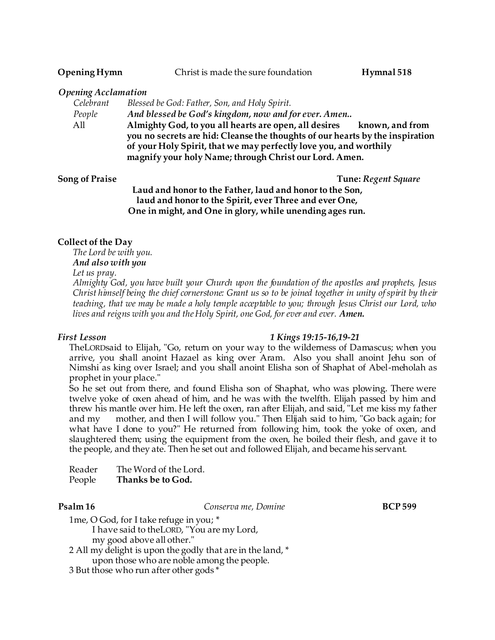| Opening Hymn               | Christ is made the sure foundation           |  | Hymnal 518 |
|----------------------------|----------------------------------------------|--|------------|
| <b>Opening Acclamation</b> |                                              |  |            |
| Colohrant                  | Blossed he Cod: Eather, Son, and Holy Spirit |  |            |

| Celebrant | Blessed be God: Father, Son, and Holy Spirit.                                 |  |  |  |
|-----------|-------------------------------------------------------------------------------|--|--|--|
| People    | And blessed be God's kingdom, now and for ever. Amen                          |  |  |  |
| All       | Almighty God, to you all hearts are open, all desires<br>known, and from      |  |  |  |
|           | you no secrets are hid: Cleanse the thoughts of our hearts by the inspiration |  |  |  |
|           | of your Holy Spirit, that we may perfectly love you, and worthily             |  |  |  |
|           | magnify your holy Name; through Christ our Lord. Amen.                        |  |  |  |

**Song of Praise Tune:** *Regent Square* Tune: *Regent Square* 

**Laud and honor to the Father, laud and honor to the Son, laud and honor to the Spirit, ever Three and ever One, One in might, and One in glory, while unending ages run.**

### **Collect of the Day**

*The Lord be with you. And also with you Let us pray.*

*Almighty God, you have built your Church upon the foundation of the apostles and prophets, Jesus Christ himself being the chief cornerstone: Grant us so to be joined together in unity of spirit by th eir teaching, that we may be made a holy temple acceptable to you; through Jesus Christ our Lord, who lives and reigns with you and the Holy Spirit, one God, for ever and ever. Amen.*

### *First Lesson 1 Kings 19:15-16,19-21*

TheLORDsaid to Elijah, "Go, return on your way to the wilderness of Damascus; when you arrive, you shall anoint Hazael as king over Aram. Also you shall anoint Jehu son of Nimshi as king over Israel; and you shall anoint Elisha son of Shaphat of Abel-meholah as prophet in your place."

So he set out from there, and found Elisha son of Shaphat, who was plowing. There were twelve yoke of oxen ahead of him, and he was with the twelfth. Elijah passed by him and threw his mantle over him. He left the oxen, ran after Elijah, and said, "Let me kiss my father and my mother, and then I will follow you." Then Elijah said to him, "Go back again; for what have I done to you?" He returned from following him, took the yoke of oxen, and slaughtered them; using the equipment from the oxen, he boiled their flesh, and gave it to the people, and they ate. Then he set out and followed Elijah, and became his servant.

| Reader                   | The Word of the Lord. |  |  |  |
|--------------------------|-----------------------|--|--|--|
| $\overline{\phantom{a}}$ |                       |  |  |  |

People **Thanks be to God.**

**Psalm 16 Conserva me, Domine BCP 599** 

- 1me, O God, for I take refuge in you; \* I have said to theLORD, "You are my Lord,
	- my good above all other."
- 2 All my delight is upon the godly that are in the land, \* upon those who are noble among the people.
- 3 But those who run after other gods \*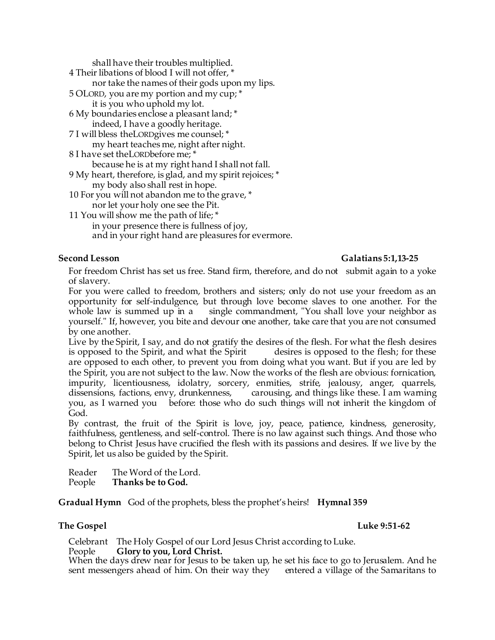shall have their troubles multiplied.

4 Their libations of blood I will not offer, \* nor take the names of their gods upon my lips. 5 OLORD, you are my portion and my cup; \* it is you who uphold my lot. 6 My boundaries enclose a pleasant land; \* indeed, I have a goodly heritage. 7 I will bless theLORDgives me counsel; \* my heart teaches me, night after night. 8 I have set theLORDbefore me; \* because he is at my right hand I shall not fall. 9 My heart, therefore, is glad, and my spirit rejoices; \*

my body also shall rest in hope. 10 For you will not abandon me to the grave, \*

nor let your holy one see the Pit.

11 You will show me the path of life; \* in your presence there is fullness of joy, and in your right hand are pleasures for evermore.

# **Second Lesson Galatians 5:1,13-25**

For freedom Christ has set us free. Stand firm, therefore, and do not submit again to a yoke of slavery.

For you were called to freedom, brothers and sisters; only do not use your freedom as an opportunity for self-indulgence, but through love become slaves to one another. For the whole law is summed up in a single commandment, "You shall love your neighbor as yourself." If, however, you bite and devour one another, take care that you are not consumed by one another.

Live by the Spirit, I say, and do not gratify the desires of the flesh. For what the flesh desires is opposed to the Spirit, and what the Spirit desires is opposed to the flesh; for these are opposed to each other, to prevent you from doing what you want. But if you are led by the Spirit, you are not subject to the law. Now the works of the flesh are obvious: fornication, impurity, licentiousness, idolatry, sorcery, enmities, strife, jealousy, anger, quarrels, dissensions, factions, envy, drunkenness, carousing, and things like these. I am warning you, as I warned you before: those who do such things will not inherit the kingdom of God.

By contrast, the fruit of the Spirit is love, joy, peace, patience, kindness, generosity, faithfulness, gentleness, and self-control. There is no law against such things. And those who belong to Christ Jesus have crucified the flesh with its passions and desires. If we live by the Spirit, let us also be guided by the Spirit.

Reader The Word of the Lord. People **Thanks be to God.** 

**Gradual Hymn** God of the prophets, bless the prophet's heirs! **Hymnal 359**

## **The Gospel Community 1.1 and 2.51-62**

Celebrant The Holy Gospel of our Lord Jesus Christ according to Luke. People **Glory to you, Lord Christ.**

When the days drew near for Jesus to be taken up, he set his face to go to Jerusalem. And he sent messengers ahead of him. On their way they entered a village of the Samaritans to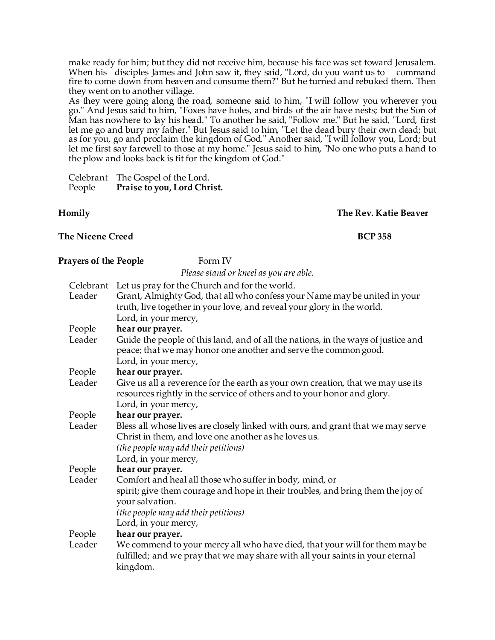make ready for him; but they did not receive him, because his face was set toward Jerusalem. When his disciples James and John saw it, they said, "Lord, do you want us to command fire to come down from heaven and consume them?" But he turned and rebuked them. Then they went on to another village.

As they were going along the road, someone said to him, "I will follow you wherever you go." And Jesus said to him, "Foxes have holes, and birds of the air have nests; but the Son of Man has nowhere to lay his head." To another he said, "Follow me." But he said, "Lord, first let me go and bury my father." But Jesus said to him, "Let the dead bury their own dead; but as for you, go and proclaim the kingdom of God." Another said, "I will follow you, Lord; but let me first say farewell to those at my home." Jesus said to him, "No one who puts a hand to the plow and looks back is fit for the kingdom of God."

Celebrant The Gospel of the Lord.<br>People Praise to you, Lord Chri Praise to you, Lord Christ.

**Homily The Rev. Katie Beaver**

# The Nicene Creed **BCP** 358

| Prayers of the People | Form IV                                                                           |  |
|-----------------------|-----------------------------------------------------------------------------------|--|
|                       | Please stand or kneel as you are able.                                            |  |
|                       | Celebrant Let us pray for the Church and for the world.                           |  |
| Leader                | Grant, Almighty God, that all who confess your Name may be united in your         |  |
|                       | truth, live together in your love, and reveal your glory in the world.            |  |
|                       | Lord, in your mercy,                                                              |  |
| People                | hear our prayer.                                                                  |  |
| Leader                | Guide the people of this land, and of all the nations, in the ways of justice and |  |
|                       | peace; that we may honor one another and serve the common good.                   |  |
|                       | Lord, in your mercy,                                                              |  |
| People                | hear our prayer.                                                                  |  |
| Leader                | Give us all a reverence for the earth as your own creation, that we may use its   |  |
|                       | resources rightly in the service of others and to your honor and glory.           |  |
|                       | Lord, in your mercy,                                                              |  |
| People                | hear our prayer.                                                                  |  |
| Leader                | Bless all whose lives are closely linked with ours, and grant that we may serve   |  |
|                       | Christ in them, and love one another as he loves us.                              |  |
|                       | (the people may add their petitions)                                              |  |
|                       | Lord, in your mercy,                                                              |  |
| People                | hear our prayer.                                                                  |  |
| Leader                | Comfort and heal all those who suffer in body, mind, or                           |  |
|                       | spirit; give them courage and hope in their troubles, and bring them the joy of   |  |
|                       | your salvation.                                                                   |  |
|                       | (the people may add their petitions)                                              |  |
|                       | Lord, in your mercy,                                                              |  |
| People                | hear our prayer.                                                                  |  |
| Leader                | We commend to your mercy all who have died, that your will for them may be        |  |
|                       | fulfilled; and we pray that we may share with all your saints in your eternal     |  |
|                       | kingdom.                                                                          |  |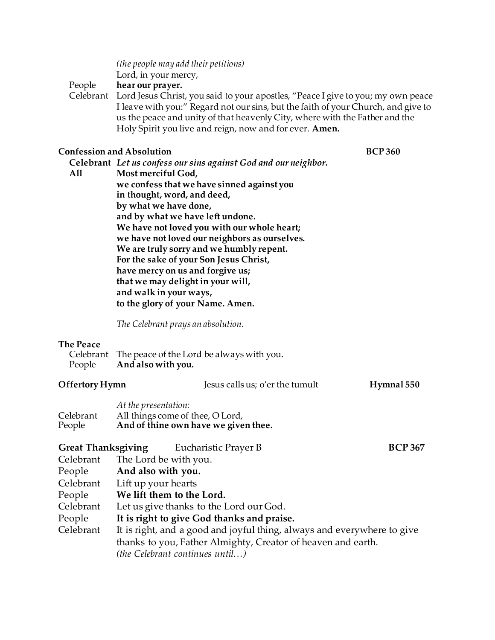*(the people may add their petitions)* Lord, in your mercy,

People **hear our prayer.**

Celebrant Lord Jesus Christ, you said to your apostles, "Peace I give to you; my own peace I leave with you:" Regard not our sins, but the faith of your Church, and give to us the peace and unity of that heavenly City, where with the Father and the Holy Spirit you live and reign, now and for ever. **Amen.**

### **Confession and Absolution BCP 360**

- **Celebrant** *Let us confess our sins against God and our neighbor.*  **All Most merciful God, we confess that we have sinned against you**
	- **in thought, word, and deed, by what we have done, and by what we have left undone. We have not loved you with our whole heart; we have not loved our neighbors as ourselves. We are truly sorry and we humbly repent. For the sake of your Son Jesus Christ, have mercy on us and forgive us; that we may delight in your will, and walk in your ways, to the glory of your Name. Amen.**

*The Celebrant prays an absolution.*

### **The Peace**

|        | Celebrant The peace of the Lord be always with you. |
|--------|-----------------------------------------------------|
| People | And also with you.                                  |

| Offertory Hymn      |                                                                         | Jesus calls us; o'er the tumult                                          | Hymnal 550     |  |
|---------------------|-------------------------------------------------------------------------|--------------------------------------------------------------------------|----------------|--|
| Celebrant<br>People | At the presentation:                                                    | All things come of thee, O Lord,<br>And of thine own have we given thee. |                |  |
|                     |                                                                         | <b>Great Thanksgiving</b> Eucharistic Prayer B                           | <b>BCP 367</b> |  |
| Celebrant           |                                                                         | The Lord be with you.                                                    |                |  |
| People              | And also with you.                                                      |                                                                          |                |  |
| Celebrant           | Lift up your hearts                                                     |                                                                          |                |  |
| People              | We lift them to the Lord.                                               |                                                                          |                |  |
| Celebrant           | Let us give thanks to the Lord our God.                                 |                                                                          |                |  |
| People              | It is right to give God thanks and praise.                              |                                                                          |                |  |
| Celebrant           | It is right, and a good and joyful thing, always and everywhere to give |                                                                          |                |  |
|                     | thanks to you, Father Almighty, Creator of heaven and earth.            |                                                                          |                |  |
|                     |                                                                         | <i>(the Celebrant continues until)</i>                                   |                |  |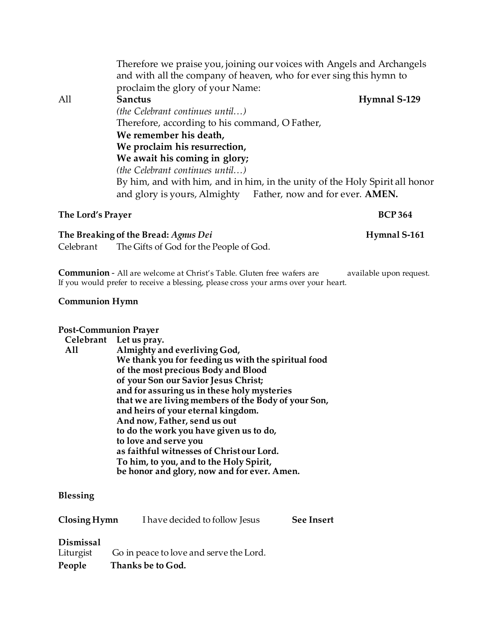|     | Therefore we praise you, joining our voices with Angels and Archangels<br>and with all the company of heaven, who for ever sing this hymn to |  |  |  |
|-----|----------------------------------------------------------------------------------------------------------------------------------------------|--|--|--|
|     | proclaim the glory of your Name:                                                                                                             |  |  |  |
| All | Hymnal S-129<br>Sanctus                                                                                                                      |  |  |  |
|     | <i>(the Celebrant continues until)</i>                                                                                                       |  |  |  |
|     | Therefore, according to his command, O Father,                                                                                               |  |  |  |
|     | We remember his death,                                                                                                                       |  |  |  |
|     | We proclaim his resurrection,                                                                                                                |  |  |  |
|     | We await his coming in glory;                                                                                                                |  |  |  |
|     | <i>(the Celebrant continues until)</i>                                                                                                       |  |  |  |
|     | By him, and with him, and in him, in the unity of the Holy Spirit all honor                                                                  |  |  |  |
|     | Father, now and for ever. <b>AMEN.</b><br>and glory is yours, Almighty                                                                       |  |  |  |
|     |                                                                                                                                              |  |  |  |

### **The Lord's Prayer BCP 364**

**The Breaking of the Bread:** *Agnus Dei* **Hymnal S-161** Celebrant The Gifts of God for the People of God.

**Communion** - All are welcome at Christ's Table. Gluten free wafers are available upon request. If you would prefer to receive a blessing, please cross your arms over your heart.

### **Communion Hymn**

## **Post-Communion Prayer**

# **Celebrant Let us pray.**

**All Almighty and everliving God, We thank you for feeding us with the spiritual food of the most precious Body and Blood of your Son our Savior Jesus Christ; and for assuring us in these holy mysteries that we are living members of the Body of your Son, and heirs of your eternal kingdom. And now, Father, send us out to do the work you have given us to do, to love and serve you as faithful witnesses of Christ our Lord. To him, to you, and to the Holy Spirit, be honor and glory, now and for ever. Amen.**

## **Blessing**

| Closing Hymn           | I have decided to follow Jesus          | <b>See Insert</b> |
|------------------------|-----------------------------------------|-------------------|
| Dismissal<br>Liturgist | Go in peace to love and serve the Lord. |                   |
| People                 | Thanks be to God.                       |                   |